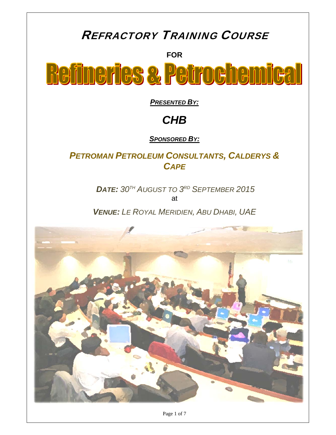# REFRACTORY TRAINING COURSE

**FOR** 

**Refineries & Petrochemical** 

*PRESENTED BY:*

# *CHB*

*SPONSORED BY:*

# *PETROMAN PETROLEUM CONSULTANTS, CALDERYS & CAPE*

*DATE: 30TH AUGUST TO 3RD SEPTEMBER 2015* at

*VENUE: LE ROYAL MERIDIEN, ABU DHABI, UAE* 



Page 1 of 7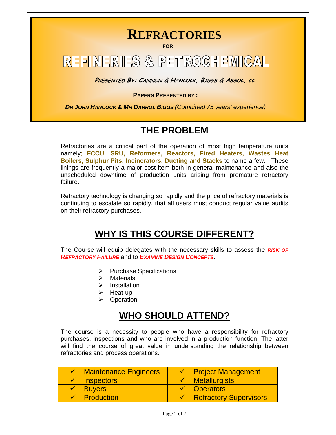# **REFRACTORIES**

**FOR** 

# **REFINERIES & PETROCHEMICAL**

**PRESENTED BY: CANNON & HANCOCK, BIGGS & ASSOC. CC**

**PAPERS PRESENTED BY :** 

 *DR JOHN HANCOCK & MR DARROL BIGGS (Combined 75 years' experience)*

# **THE PROBLEM**

Refractories are a critical part of the operation of most high temperature units namely; **FCCU, SRU, Reformers, Reactors, Fired Heaters, Wastes Heat Boilers, Sulphur Pits, Incinerators, Ducting and Stacks** to name a few. These linings are frequently a major cost item both in general maintenance and also the unscheduled downtime of production units arising from premature refractory failure.

Refractory technology is changing so rapidly and the price of refractory materials is continuing to escalate so rapidly, that all users must conduct regular value audits on their refractory purchases.

# **WHY IS THIS COURSE DIFFERENT?**

The Course will equip delegates with the necessary skills to assess the *RISK OF REFRACTORY FAILURE* and to *EXAMINE DESIGN CONCEPTS.*

- $\triangleright$  Purchase Specifications
- $\triangleright$  Materials
- $\triangleright$  Installation
- $\triangleright$  Heat-up
- **Operation**

# **WHO SHOULD ATTEND?**

The course is a necessity to people who have a responsibility for refractory purchases, inspections and who are involved in a production function. The latter will find the course of great value in understanding the relationship between refractories and process operations.

| $\checkmark$ Maintenance Engineers | $\checkmark$ Project Management     |
|------------------------------------|-------------------------------------|
| $\sqrt{\phantom{a}}$ Inspectors    | $\checkmark$ Metallurgists          |
| <b>Buyers</b>                      | $\checkmark$ Operators              |
| $\checkmark$ Production            | $\checkmark$ Refractory Supervisors |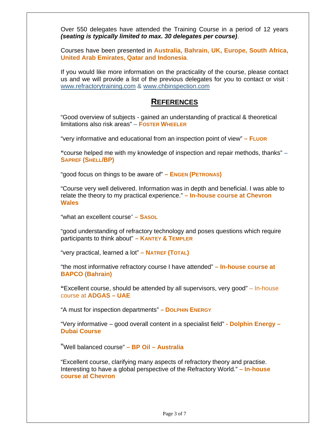Over 550 delegates have attended the Training Course in a period of 12 years *(seating is typically limited to max. 30 delegates per course)*.

Courses have been presented in **Australia, Bahrain, UK, Europe, South Africa, United Arab Emirates, Qatar and Indonesia**.

If you would like more information on the practicality of the course, please contact us and we will provide a list of the previous delegates for you to contact or visit : www.refractorytraining.com & www.chbinspection.com

# **REFERENCES**

"Good overview of subjects - gained an understanding of practical & theoretical limitations also risk areas" – **FOSTER WHEELER**

"very informative and educational from an inspection point of view" **– FLUOR**

**"**course helped me with my knowledge of inspection and repair methods, thanks" – **SAPREF (SHELL/BP)** 

"good focus on things to be aware of" **– ENGEN (PETRONAS)**

"Course very well delivered. Information was in depth and beneficial. I was able to relate the theory to my practical experience." **– In-house course at Chevron Wales**

"what an excellent course" **– SASOL** 

"good understanding of refractory technology and poses questions which require participants to think about" **– KANTEY & TEMPLER**

"very practical, learned a lot" **– NATREF (TOTAL)**

"the most informative refractory course I have attended" **– In-house course at BAPCO (Bahrain)** 

**"**Excellent course, should be attended by all supervisors, very good" – In-house course at **ADGAS – UAE** 

"A must for inspection departments" **– DOLPHIN ENERGY** 

"Very informative – good overall content in a specialist field" **- Dolphin Energy – Dubai Course** 

"Well balanced course" **– BP Oil – Australia**

"Excellent course, clarifying many aspects of refractory theory and practise. Interesting to have a global perspective of the Refractory World." **– In-house course at Chevron**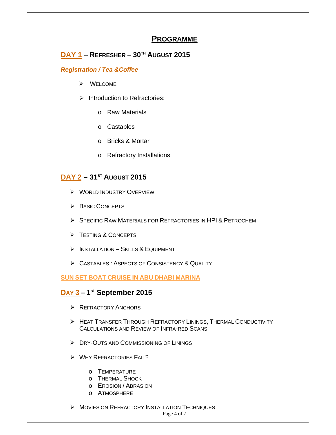# **PROGRAMME**

# **DAY 1 – REFRESHER – 30TH AUGUST 2015**

## *Registration / Tea &Coffee*

- WELCOME
- $\triangleright$  Introduction to Refractories:
	- o Raw Materials
	- o Castables
	- o Bricks & Mortar
	- o Refractory Installations

# **DAY 2 – 31st AUGUST 2015**

- **WORLD INDUSTRY OVERVIEW**
- **BASIC CONCEPTS**
- SPECIFIC RAW MATERIALS FOR REFRACTORIES IN HPI & PETROCHEM
- FESTING & CONCEPTS
- $\triangleright$  INSTALLATION SKILLS & EQUIPMENT
- > CASTABLES : ASPECTS OF CONSISTENCY & QUALITY

## **SUN SET BOAT CRUISE IN ABU DHABI MARINA**

# **DAY 3 – 1st September 2015**

- **EXECUTORY ANCHORS**
- HEAT TRANSFER THROUGH REFRACTORY LININGS, THERMAL CONDUCTIVITY CALCULATIONS AND REVIEW OF INFRA-RED SCANS
- **EXAMPLE AND COMMISSIONING OF LININGS**
- WHY REFRACTORIES FAIL?
	- o TEMPERATURE
	- o THERMAL SHOCK
	- o EROSION / ABRASION
	- o ATMOSPHERE

**MOVIES ON REFRACTORY INSTALLATION TECHNIQUES**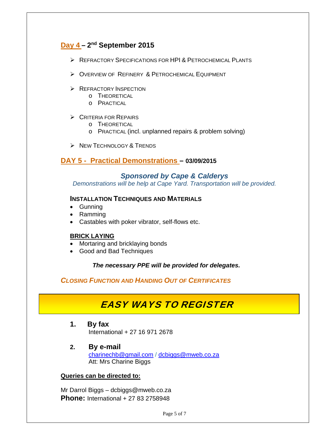# **Day 4 – 2nd September 2015**

- REFRACTORY SPECIFICATIONS FOR HPI & PETROCHEMICAL PLANTS
- OVERVIEW OF REFINERY & PETROCHEMICAL EQUIPMENT
- **REFRACTORY INSPECTION** 
	- o THEORETICAL
	- o PRACTICAL

#### $\triangleright$  CRITERIA FOR REPAIRS

- o THEORETICAL
- o PRACTICAL (incl. unplanned repairs & problem solving)
- $\triangleright$  New Technology & Trends

## **DAY 5 - Practical Demonstrations – 03/09/2015**

#### *Sponsored by Cape & Calderys*

*Demonstrations will be help at Cape Yard. Transportation will be provided.* 

## **INSTALLATION TECHNIQUES AND MATERIALS**

- Gunning
- Ramming
- Castables with poker vibrator, self-flows etc.

#### **BRICK LAYING**

- Mortaring and bricklaying bonds
- Good and Bad Techniques

#### *The necessary PPE will be provided for delegates.*

## *CLOSING FUNCTION AND HANDING OUT OF CERTIFICATES*

# EASY WAYS TO REGISTER

- **1. By fax**  International + 27 16 971 2678
- **2. By e-mail** charinechb@gmail.com / dcbiggs@mweb.co.za Att: Mrs Charine Biggs

#### **Queries can be directed to:**

Mr Darrol Biggs – dcbiggs@mweb.co.za **Phone:** International + 27 83 2758948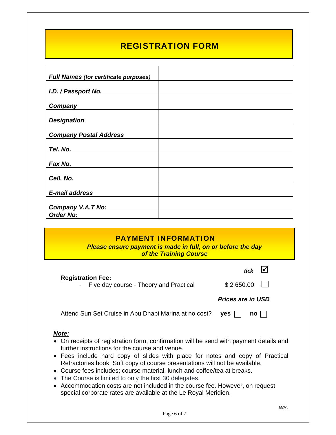# REGISTRATION FORM

| <b>Full Names (for certificate purposes)</b> |  |
|----------------------------------------------|--|
| I.D. / Passport No.                          |  |
| Company                                      |  |
|                                              |  |
| <b>Designation</b>                           |  |
| <b>Company Postal Address</b>                |  |
| Tel. No.                                     |  |
| Fax No.                                      |  |
| Cell. No.                                    |  |
| E-mail address                               |  |
| Company V.A.T No:                            |  |
| <b>Order No:</b>                             |  |

# PAYMENT INFORMATION

*Please ensure payment is made in full, on or before the day of the Training Course* 

| <u>or the Training Course</u>                                        |                                   |  |
|----------------------------------------------------------------------|-----------------------------------|--|
| <b>Registration Fee:</b><br>- Five day course - Theory and Practical | tick $\blacksquare$<br>\$2650.00  |  |
|                                                                      | <b>Prices are in USD</b>          |  |
| Attend Sun Set Cruise in Abu Dhabi Marina at no cost?                | $ves$    <br>$no$ $\vert$ $\vert$ |  |
|                                                                      |                                   |  |

#### *Note:*

**Service Service** 

- On receipts of registration form, confirmation will be send with payment details and further instructions for the course and venue.
- Fees include hard copy of slides with place for notes and copy of Practical Refractories book. Soft copy of course presentations will not be available.
- Course fees includes; course material, lunch and coffee/tea at breaks.
- The Course is limited to only the first 30 delegates.
- Accommodation costs are not included in the course fee. However, on request special corporate rates are available at the Le Royal Meridien.